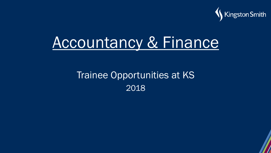

# Accountancy & Finance

#### Trainee Opportunities at KS 2018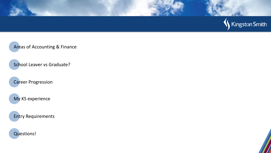

Areas of Accounting & Finance

School Leaver vs Graduate?

Career Progression

My KS experience

Entry Requirements

Questions!

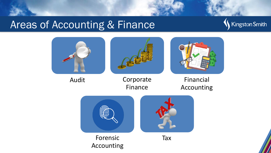#### Areas of Accounting & Finance



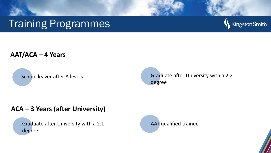### Training Programmes



#### **AAT/ACA – 4 Years**

School leaver after A levels **Graduate after University with a 2.2** degree

#### **ACA – 3 Years (after University)**

Graduate after University with a 2.1 degree

AAT qualified trainee

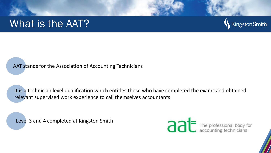#### What is the AAT?



AAT stands for the Association of Accounting Technicians

It is a technician level qualification which entitles those who have completed the exams and obtained relevant supervised work experience to call themselves accountants

Level 3 and 4 completed at Kingston Smith

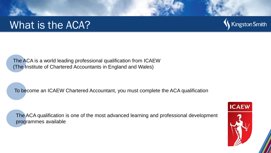#### What is the ACA?



The ACA is a world leading professional qualification from ICAEW (The Institute of Chartered Accountants in England and Wales)

To become an ICAEW Chartered Accountant, you must complete the ACA qualification

The ACA qualification is one of the most advanced learning and professional development programmes available

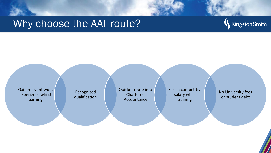#### Why choose the AAT route?



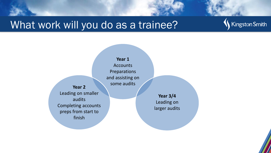### What work will you do as a trainee?





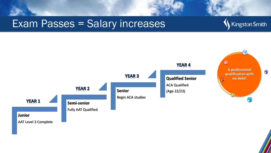#### Exam Passes = Salary increases



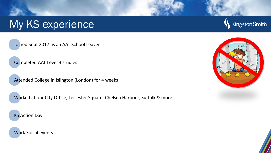## My KS experience

Joined Sept 2017 as an AAT School Leaver

Completed AAT Level 3 studies

Attended College in Islington (London) for 4 weeks

Worked at our City Office, Leicester Square, Chelsea Harbour, Suffolk & more

KS Action Day

Work Social events



Kingston Smith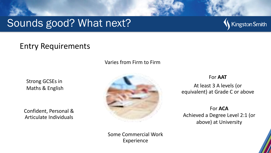### Sounds good? What next?



#### Entry Requirements

Varies from Firm to Firm

Strong GCSEs in Maths & English

Confident, Personal & Articulate Individuals



Some Commercial Work Experience

For **AAT**

At least 3 A levels (or equivalent) at Grade C or above

For **ACA** Achieved a Degree Level 2:1 (or above) at University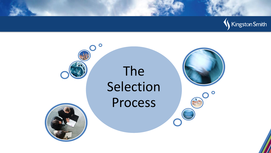



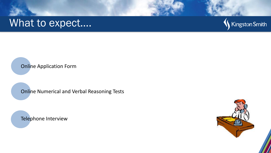#### What to expect....



Online Application Form

Online Numerical and Verbal Reasoning Tests

Telephone Interview

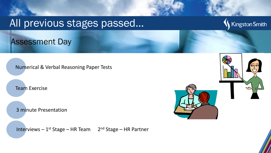#### All previous stages passed…

Assessment Day

Numerical & Verbal Reasoning Paper Tests

Team Exercise

3 minute Presentation

Interviews - 1<sup>st</sup> Stage - HR Team 2<sup>nd</sup> Stage - HR Partner



Kingston Smith